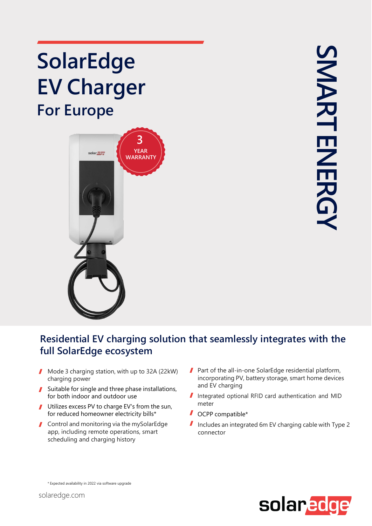## **SolarEdge EV Charger For Europe**



## **Residential EV charging solution that seamlessly integrates with the full SolarEdge ecosystem**

- $\mathbf{I}$ Mode 3 charging station, with up to 32A (22kW) charging power
- Suitable for single and three phase installations, for both indoor and outdoor use
- Utilizes excess PV to charge EV's from the sun, for reduced homeowner electricity bills\*
- Control and monitoring via the mySolarEdge app, including remote operations, smart scheduling and charging history
- Part of the all-in-one SolarEdge residential platform,  $\mathbf{I}$ incorporating PV, battery storage, smart home devices and EV charging
- Integrated optional RFID card authentication and MID meter
- OCPP compatible\*
- $\mathbf{r}$ Includes an integrated 6m EV charging cable with Type 2 connector



\* Expected availability in 2022 via software upgrade

solaredge.com